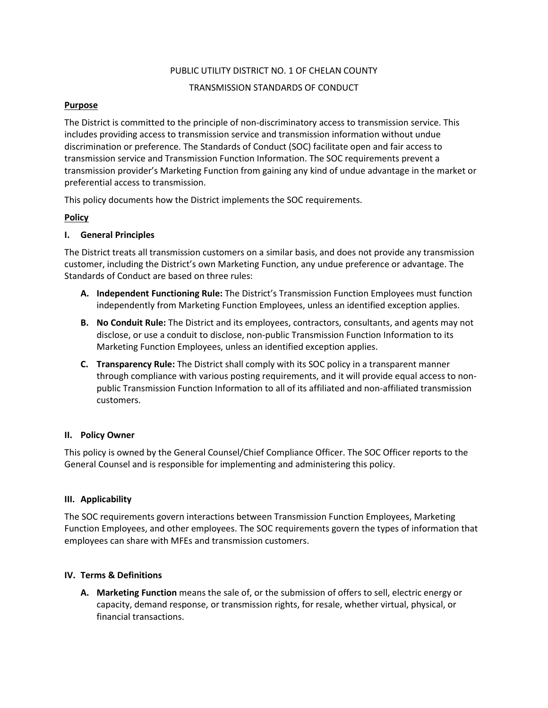# PUBLIC UTILITY DISTRICT NO. 1 OF CHELAN COUNTY

# TRANSMISSION STANDARDS OF CONDUCT

# **Purpose**

The District is committed to the principle of non-discriminatory access to transmission service. This includes providing access to transmission service and transmission information without undue discrimination or preference. The Standards of Conduct (SOC) facilitate open and fair access to transmission service and Transmission Function Information. The SOC requirements prevent a transmission provider's Marketing Function from gaining any kind of undue advantage in the market or preferential access to transmission.

This policy documents how the District implements the SOC requirements.

# **Policy**

# **I. General Principles**

The District treats all transmission customers on a similar basis, and does not provide any transmission customer, including the District's own Marketing Function, any undue preference or advantage. The Standards of Conduct are based on three rules:

- **A. Independent Functioning Rule:** The District's Transmission Function Employees must function independently from Marketing Function Employees, unless an identified exception applies.
- **B. No Conduit Rule:** The District and its employees, contractors, consultants, and agents may not disclose, or use a conduit to disclose, non-public Transmission Function Information to its Marketing Function Employees, unless an identified exception applies.
- **C. Transparency Rule:** The District shall comply with its SOC policy in a transparent manner through compliance with various posting requirements, and it will provide equal access to nonpublic Transmission Function Information to all of its affiliated and non-affiliated transmission customers.

# **II. Policy Owner**

This policy is owned by the General Counsel/Chief Compliance Officer. The SOC Officer reports to the General Counsel and is responsible for implementing and administering this policy.

# **III. Applicability**

The SOC requirements govern interactions between Transmission Function Employees, Marketing Function Employees, and other employees. The SOC requirements govern the types of information that employees can share with MFEs and transmission customers.

# **IV. Terms & Definitions**

**A. Marketing Function** means the sale of, or the submission of offers to sell, electric energy or capacity, demand response, or transmission rights, for resale, whether virtual, physical, or financial transactions.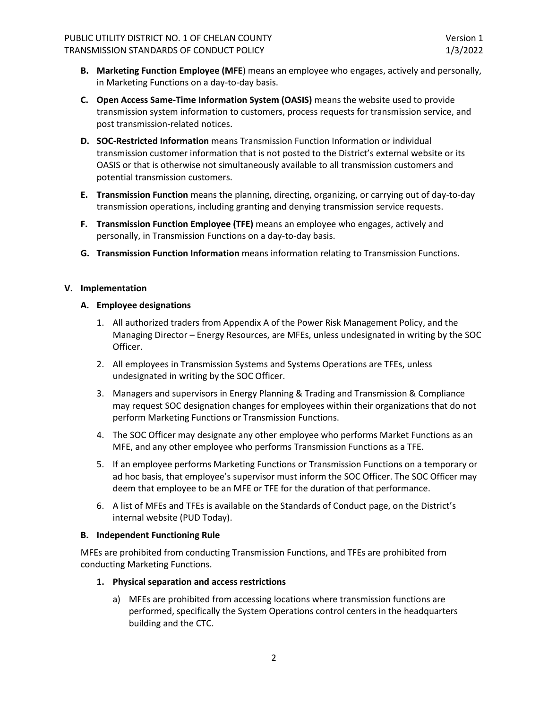- **B. Marketing Function Employee (MFE**) means an employee who engages, actively and personally, in Marketing Functions on a day-to-day basis.
- **C. Open Access Same-Time Information System (OASIS)** means the website used to provide transmission system information to customers, process requests for transmission service, and post transmission-related notices.
- **D. SOC-Restricted Information** means Transmission Function Information or individual transmission customer information that is not posted to the District's external website or its OASIS or that is otherwise not simultaneously available to all transmission customers and potential transmission customers.
- **E. Transmission Function** means the planning, directing, organizing, or carrying out of day-to-day transmission operations, including granting and denying transmission service requests.
- **F. Transmission Function Employee (TFE)** means an employee who engages, actively and personally, in Transmission Functions on a day-to-day basis.
- **G. Transmission Function Information** means information relating to Transmission Functions.

# **V. Implementation**

# **A. Employee designations**

- 1. All authorized traders from Appendix A of the Power Risk Management Policy, and the Managing Director – Energy Resources, are MFEs, unless undesignated in writing by the SOC Officer.
- 2. All employees in Transmission Systems and Systems Operations are TFEs, unless undesignated in writing by the SOC Officer.
- 3. Managers and supervisors in Energy Planning & Trading and Transmission & Compliance may request SOC designation changes for employees within their organizations that do not perform Marketing Functions or Transmission Functions.
- 4. The SOC Officer may designate any other employee who performs Market Functions as an MFE, and any other employee who performs Transmission Functions as a TFE.
- 5. If an employee performs Marketing Functions or Transmission Functions on a temporary or ad hoc basis, that employee's supervisor must inform the SOC Officer. The SOC Officer may deem that employee to be an MFE or TFE for the duration of that performance.
- 6. A list of MFEs and TFEs is available on the Standards of Conduct page, on the District's internal website (PUD Today).

# **B. Independent Functioning Rule**

MFEs are prohibited from conducting Transmission Functions, and TFEs are prohibited from conducting Marketing Functions.

# **1. Physical separation and access restrictions**

a) MFEs are prohibited from accessing locations where transmission functions are performed, specifically the System Operations control centers in the headquarters building and the CTC.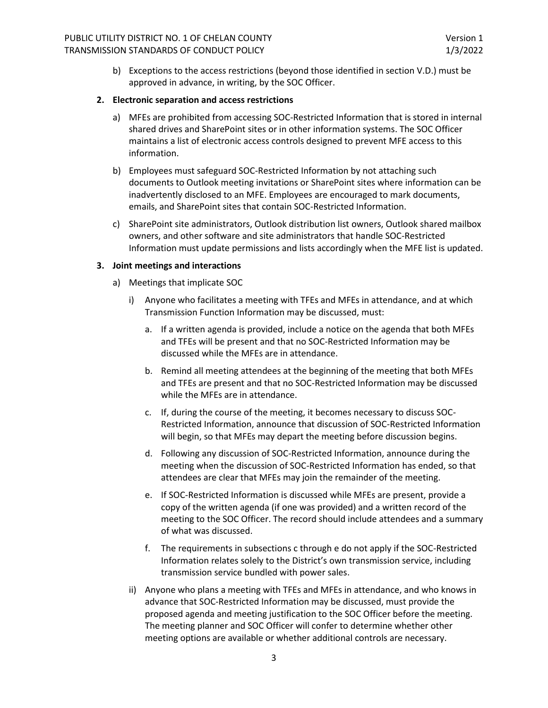b) Exceptions to the access restrictions (beyond those identified in section V.D.) must be approved in advance, in writing, by the SOC Officer.

#### **2. Electronic separation and access restrictions**

- a) MFEs are prohibited from accessing SOC-Restricted Information that is stored in internal shared drives and SharePoint sites or in other information systems. The SOC Officer maintains a list of electronic access controls designed to prevent MFE access to this information.
- b) Employees must safeguard SOC-Restricted Information by not attaching such documents to Outlook meeting invitations or SharePoint sites where information can be inadvertently disclosed to an MFE. Employees are encouraged to mark documents, emails, and SharePoint sites that contain SOC-Restricted Information.
- c) SharePoint site administrators, Outlook distribution list owners, Outlook shared mailbox owners, and other software and site administrators that handle SOC-Restricted Information must update permissions and lists accordingly when the MFE list is updated.

### **3. Joint meetings and interactions**

- a) Meetings that implicate SOC
	- i) Anyone who facilitates a meeting with TFEs and MFEs in attendance, and at which Transmission Function Information may be discussed, must:
		- a. If a written agenda is provided, include a notice on the agenda that both MFEs and TFEs will be present and that no SOC-Restricted Information may be discussed while the MFEs are in attendance.
		- b. Remind all meeting attendees at the beginning of the meeting that both MFEs and TFEs are present and that no SOC-Restricted Information may be discussed while the MFEs are in attendance.
		- c. If, during the course of the meeting, it becomes necessary to discuss SOC-Restricted Information, announce that discussion of SOC-Restricted Information will begin, so that MFEs may depart the meeting before discussion begins.
		- d. Following any discussion of SOC-Restricted Information, announce during the meeting when the discussion of SOC-Restricted Information has ended, so that attendees are clear that MFEs may join the remainder of the meeting.
		- e. If SOC-Restricted Information is discussed while MFEs are present, provide a copy of the written agenda (if one was provided) and a written record of the meeting to the SOC Officer. The record should include attendees and a summary of what was discussed.
		- f. The requirements in subsections c through e do not apply if the SOC-Restricted Information relates solely to the District's own transmission service, including transmission service bundled with power sales.
	- ii) Anyone who plans a meeting with TFEs and MFEs in attendance, and who knows in advance that SOC-Restricted Information may be discussed, must provide the proposed agenda and meeting justification to the SOC Officer before the meeting. The meeting planner and SOC Officer will confer to determine whether other meeting options are available or whether additional controls are necessary.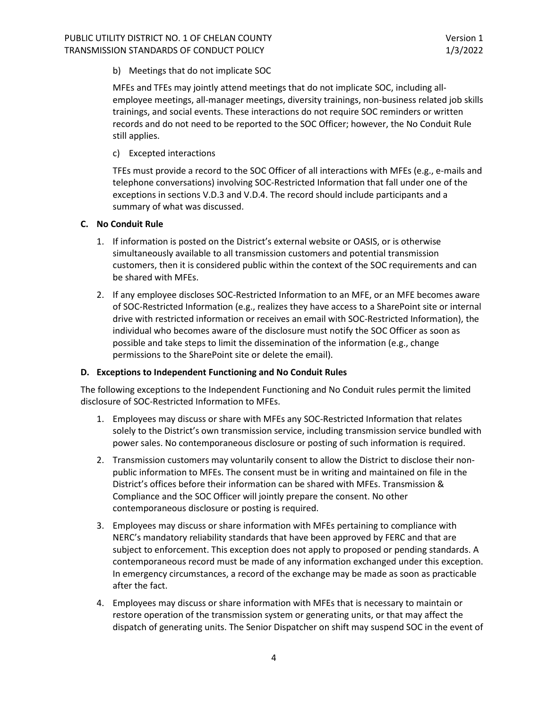b) Meetings that do not implicate SOC

MFEs and TFEs may jointly attend meetings that do not implicate SOC, including allemployee meetings, all-manager meetings, diversity trainings, non-business related job skills trainings, and social events. These interactions do not require SOC reminders or written records and do not need to be reported to the SOC Officer; however, the No Conduit Rule still applies.

c) Excepted interactions

TFEs must provide a record to the SOC Officer of all interactions with MFEs (e.g., e-mails and telephone conversations) involving SOC-Restricted Information that fall under one of the exceptions in sections V.D.3 and V.D.4. The record should include participants and a summary of what was discussed.

## **C. No Conduit Rule**

- 1. If information is posted on the District's external website or OASIS, or is otherwise simultaneously available to all transmission customers and potential transmission customers, then it is considered public within the context of the SOC requirements and can be shared with MFEs.
- 2. If any employee discloses SOC-Restricted Information to an MFE, or an MFE becomes aware of SOC-Restricted Information (e.g., realizes they have access to a SharePoint site or internal drive with restricted information or receives an email with SOC-Restricted Information), the individual who becomes aware of the disclosure must notify the SOC Officer as soon as possible and take steps to limit the dissemination of the information (e.g., change permissions to the SharePoint site or delete the email).

### **D. Exceptions to Independent Functioning and No Conduit Rules**

The following exceptions to the Independent Functioning and No Conduit rules permit the limited disclosure of SOC-Restricted Information to MFEs.

- 1. Employees may discuss or share with MFEs any SOC-Restricted Information that relates solely to the District's own transmission service, including transmission service bundled with power sales. No contemporaneous disclosure or posting of such information is required.
- 2. Transmission customers may voluntarily consent to allow the District to disclose their nonpublic information to MFEs. The consent must be in writing and maintained on file in the District's offices before their information can be shared with MFEs. Transmission & Compliance and the SOC Officer will jointly prepare the consent. No other contemporaneous disclosure or posting is required.
- 3. Employees may discuss or share information with MFEs pertaining to compliance with NERC's mandatory reliability standards that have been approved by FERC and that are subject to enforcement. This exception does not apply to proposed or pending standards. A contemporaneous record must be made of any information exchanged under this exception. In emergency circumstances, a record of the exchange may be made as soon as practicable after the fact.
- 4. Employees may discuss or share information with MFEs that is necessary to maintain or restore operation of the transmission system or generating units, or that may affect the dispatch of generating units. The Senior Dispatcher on shift may suspend SOC in the event of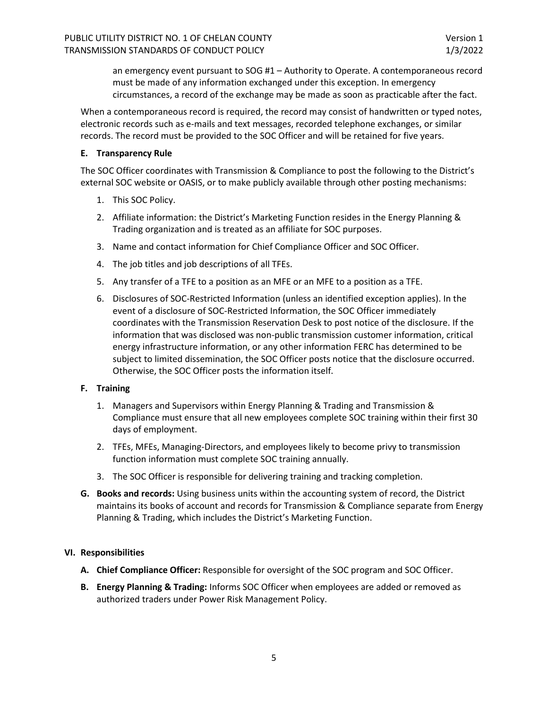an emergency event pursuant to SOG #1 – Authority to Operate. A contemporaneous record must be made of any information exchanged under this exception. In emergency circumstances, a record of the exchange may be made as soon as practicable after the fact.

When a contemporaneous record is required, the record may consist of handwritten or typed notes, electronic records such as e-mails and text messages, recorded telephone exchanges, or similar records. The record must be provided to the SOC Officer and will be retained for five years.

## **E. Transparency Rule**

The SOC Officer coordinates with Transmission & Compliance to post the following to the District's external SOC website or OASIS, or to make publicly available through other posting mechanisms:

- 1. This SOC Policy.
- 2. Affiliate information: the District's Marketing Function resides in the Energy Planning & Trading organization and is treated as an affiliate for SOC purposes.
- 3. Name and contact information for Chief Compliance Officer and SOC Officer.
- 4. The job titles and job descriptions of all TFEs.
- 5. Any transfer of a TFE to a position as an MFE or an MFE to a position as a TFE.
- 6. Disclosures of SOC-Restricted Information (unless an identified exception applies). In the event of a disclosure of SOC-Restricted Information, the SOC Officer immediately coordinates with the Transmission Reservation Desk to post notice of the disclosure. If the information that was disclosed was non-public transmission customer information, critical energy infrastructure information, or any other information FERC has determined to be subject to limited dissemination, the SOC Officer posts notice that the disclosure occurred. Otherwise, the SOC Officer posts the information itself.

# **F. Training**

- 1. Managers and Supervisors within Energy Planning & Trading and Transmission & Compliance must ensure that all new employees complete SOC training within their first 30 days of employment.
- 2. TFEs, MFEs, Managing-Directors, and employees likely to become privy to transmission function information must complete SOC training annually.
- 3. The SOC Officer is responsible for delivering training and tracking completion.
- **G. Books and records:** Using business units within the accounting system of record, the District maintains its books of account and records for Transmission & Compliance separate from Energy Planning & Trading, which includes the District's Marketing Function.

# **VI. Responsibilities**

- **A. Chief Compliance Officer:** Responsible for oversight of the SOC program and SOC Officer.
- **B. Energy Planning & Trading:** Informs SOC Officer when employees are added or removed as authorized traders under Power Risk Management Policy.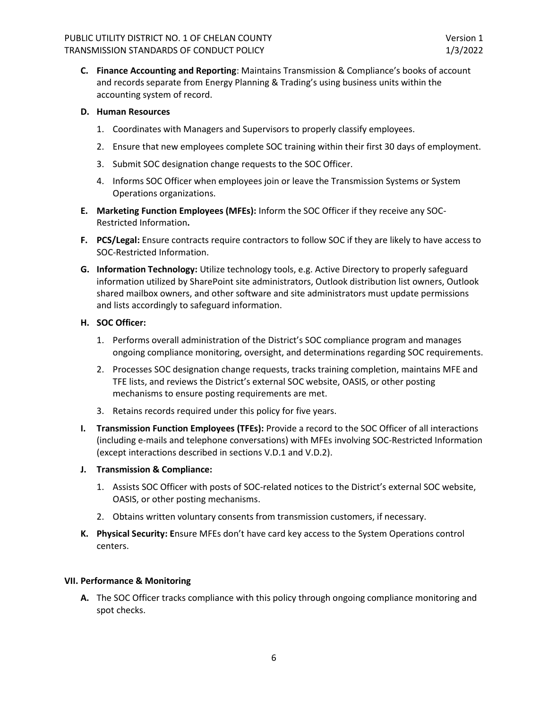**C. Finance Accounting and Reporting**: Maintains Transmission & Compliance's books of account and records separate from Energy Planning & Trading's using business units within the accounting system of record.

## **D. Human Resources**

- 1. Coordinates with Managers and Supervisors to properly classify employees.
- 2. Ensure that new employees complete SOC training within their first 30 days of employment.
- 3. Submit SOC designation change requests to the SOC Officer.
- 4. Informs SOC Officer when employees join or leave the Transmission Systems or System Operations organizations.
- **E. Marketing Function Employees (MFEs):** Inform the SOC Officer if they receive any SOC-Restricted Information**.**
- **F. PCS/Legal:** Ensure contracts require contractors to follow SOC if they are likely to have access to SOC-Restricted Information.
- **G. Information Technology:** Utilize technology tools, e.g. Active Directory to properly safeguard information utilized by SharePoint site administrators, Outlook distribution list owners, Outlook shared mailbox owners, and other software and site administrators must update permissions and lists accordingly to safeguard information.

## **H. SOC Officer:**

- 1. Performs overall administration of the District's SOC compliance program and manages ongoing compliance monitoring, oversight, and determinations regarding SOC requirements.
- 2. Processes SOC designation change requests, tracks training completion, maintains MFE and TFE lists, and reviews the District's external SOC website, OASIS, or other posting mechanisms to ensure posting requirements are met.
- 3. Retains records required under this policy for five years.
- **I. Transmission Function Employees (TFEs):** Provide a record to the SOC Officer of all interactions (including e-mails and telephone conversations) with MFEs involving SOC-Restricted Information (except interactions described in sections V.D.1 and V.D.2).

### **J. Transmission & Compliance:**

- 1. Assists SOC Officer with posts of SOC-related notices to the District's external SOC website, OASIS, or other posting mechanisms.
- 2. Obtains written voluntary consents from transmission customers, if necessary.
- **K. Physical Security: E**nsure MFEs don't have card key access to the System Operations control centers.

### **VII. Performance & Monitoring**

**A.** The SOC Officer tracks compliance with this policy through ongoing compliance monitoring and spot checks.